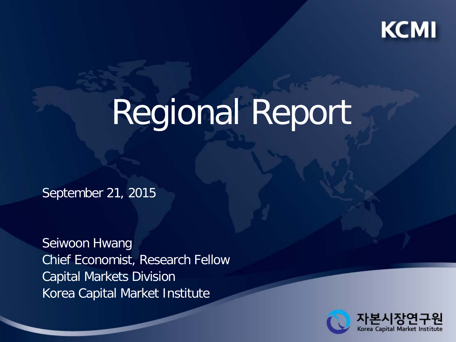

# Regional Report

September 21, 2015

Seiwoon Hwang Chief Economist, Research Fellow Capital Markets Division Korea Capital Market Institute

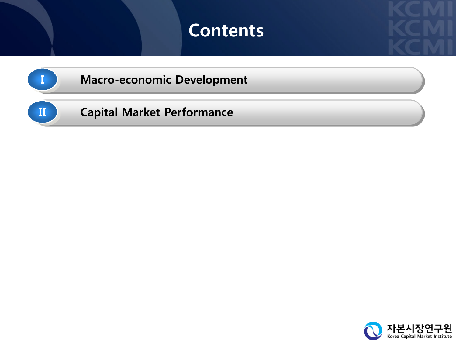## **Contents**



**I Macro-economic Development**

**II Capital Market Performance**

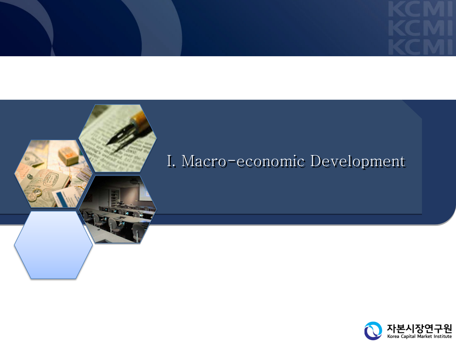## I. Macro-economic Development

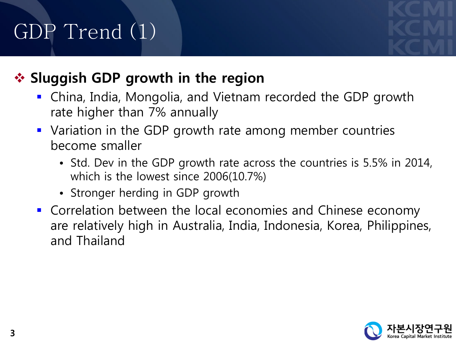## GDP Trend (1)

## **❖ Sluggish GDP growth in the region**

- China, India, Mongolia, and Vietnam recorded the GDP growth rate higher than 7% annually
- **Variation in the GDP growth rate among member countries** become smaller
	- Std. Dev in the GDP growth rate across the countries is 5.5% in 2014, which is the lowest since 2006(10.7%)
	- Stronger herding in GDP growth
- Correlation between the local economies and Chinese economy are relatively high in Australia, India, Indonesia, Korea, Philippines, and Thailand

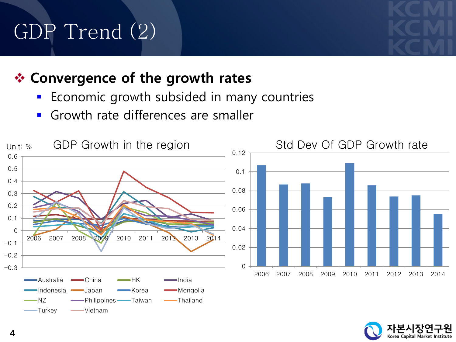## GDP Trend (2)

#### **Convergence of the growth rates**

- **Economic growth subsided in many countries**
- Growth rate differences are smaller



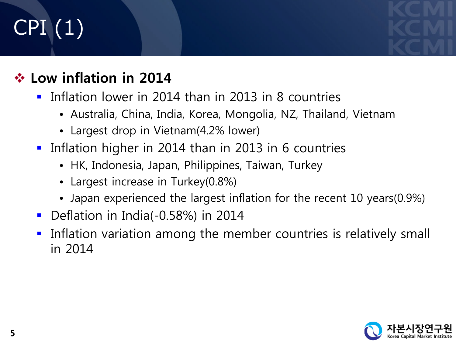## CPI (1)

#### **Low inflation in 2014**

- **Inflation lower in 2014 than in 2013 in 8 countries** 
	- Australia, China, India, Korea, Mongolia, NZ, Thailand, Vietnam
	- Largest drop in Vietnam(4.2% lower)
- **Inflation higher in 2014 than in 2013 in 6 countries** 
	- HK, Indonesia, Japan, Philippines, Taiwan, Turkey
	- Largest increase in Turkey(0.8%)
	- Japan experienced the largest inflation for the recent 10 years(0.9%)
- Deflation in India(-0.58%) in 2014
- Inflation variation among the member countries is relatively small in 2014

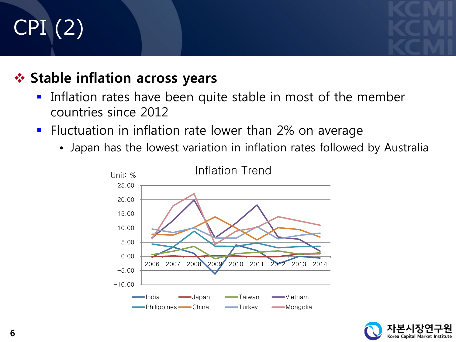## CPI (2)

#### **❖ Stable inflation across years**

- **Inflation rates have been quite stable in most of the member** countries since 2012
- **F** Fluctuation in inflation rate lower than 2% on average
	- Japan has the lowest variation in inflation rates followed by Australia



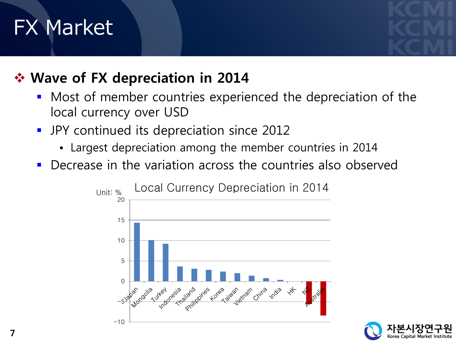## FX Market

#### **Wave of FX depreciation in 2014**

- Most of member countries experienced the depreciation of the local currency over USD
- **JPY** continued its depreciation since 2012
	- Largest depreciation among the member countries in 2014
- Decrease in the variation across the countries also observed



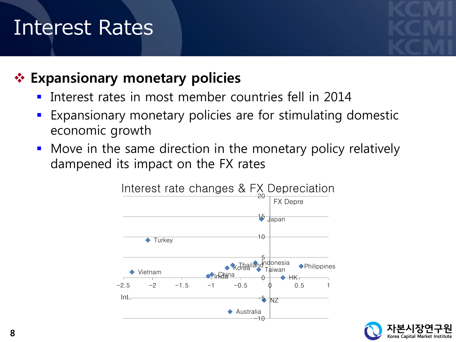## Interest Rates

#### **Expansionary monetary policies**

- Interest rates in most member countries fell in 2014
- Expansionary monetary policies are for stimulating domestic economic growth
- **•** Move in the same direction in the monetary policy relatively dampened its impact on the FX rates



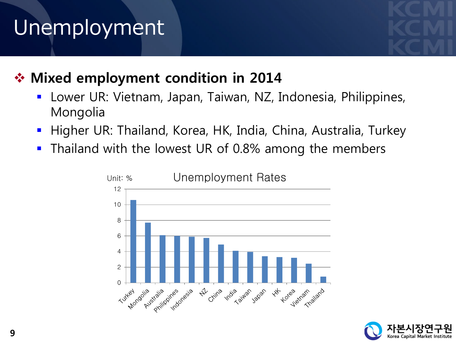## Unemployment

## **Mixed employment condition in 2014**

- Lower UR: Vietnam, Japan, Taiwan, NZ, Indonesia, Philippines, Mongolia
- **Higher UR: Thailand, Korea, HK, India, China, Australia, Turkey**
- **Thailand with the lowest UR of 0.8% among the members**



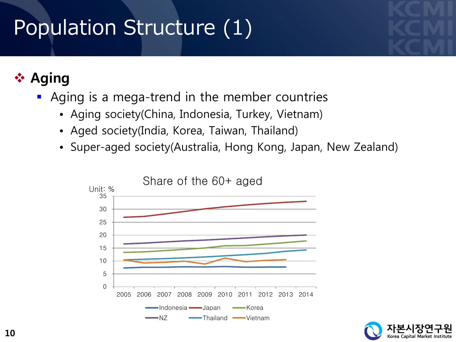## Population Structure (1)

### **Aging**

- Aging is a mega-trend in the member countries
	- Aging society(China, Indonesia, Turkey, Vietnam)
	- Aged society(India, Korea, Taiwan, Thailand)
	- Super-aged society(Australia, Hong Kong, Japan, New Zealand)



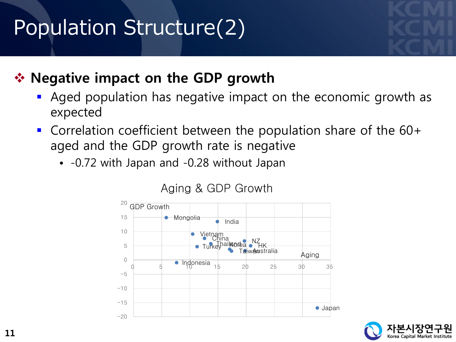## Population Structure(2)

#### **☆ Negative impact on the GDP growth**

- Aged population has negative impact on the economic growth as expected
- Correlation coefficient between the population share of the 60+ aged and the GDP growth rate is negative
	- -0.72 with Japan and -0.28 without Japan



Aging & GDP Growth

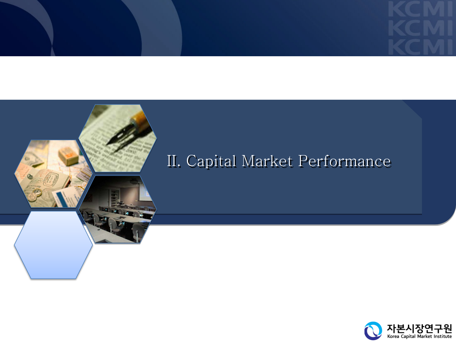

### II. Capital Market Performance

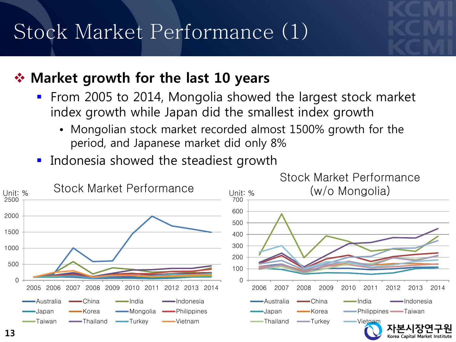## Stock Market Performance (1)

#### **Market growth for the last 10 years**

- From 2005 to 2014, Mongolia showed the largest stock market index growth while Japan did the smallest index growth
	- Mongolian stock market recorded almost 1500% growth for the period, and Japanese market did only 8%
- Indonesia showed the steadiest growth

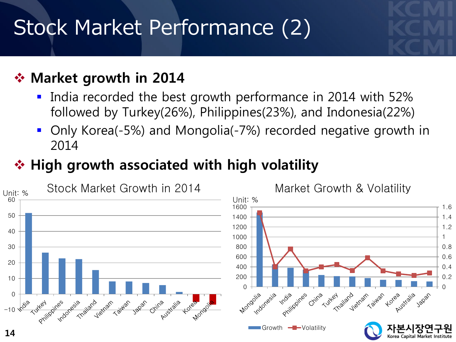## Stock Market Performance (2)

#### **❖ Market growth in 2014**

- India recorded the best growth performance in 2014 with 52% followed by Turkey(26%), Philippines(23%), and Indonesia(22%)
- Only Korea(-5%) and Mongolia(-7%) recorded negative growth in 2014

### $\triangle$  **High growth associated with high volatility**

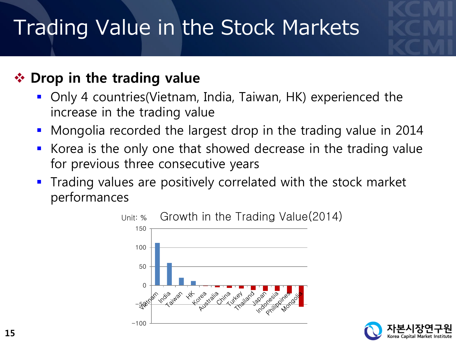## Trading Value in the Stock Markets

#### **❖ Drop in the trading value**

- Only 4 countries(Vietnam, India, Taiwan, HK) experienced the increase in the trading value
- Mongolia recorded the largest drop in the trading value in 2014
- Korea is the only one that showed decrease in the trading value for previous three consecutive years
- **Trading values are positively correlated with the stock market** performances



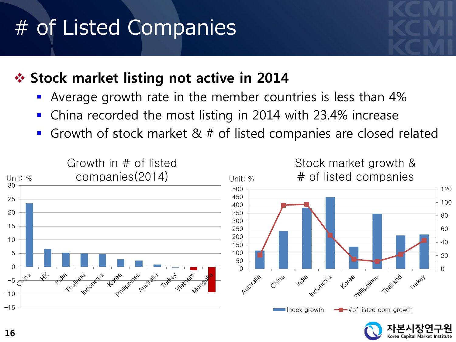## # of Listed Companies

#### *<b>❖ Stock market listing not active in 2014*

- Average growth rate in the member countries is less than 4%
- China recorded the most listing in 2014 with 23.4% increase
- Growth of stock market & # of listed companies are closed related

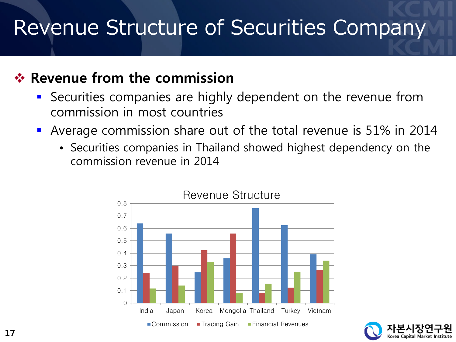## Revenue Structure of Securities Company

#### **Revenue from the commission**

- Securities companies are highly dependent on the revenue from commission in most countries
- Average commission share out of the total revenue is 51% in 2014
	- Securities companies in Thailand showed highest dependency on the commission revenue in 2014



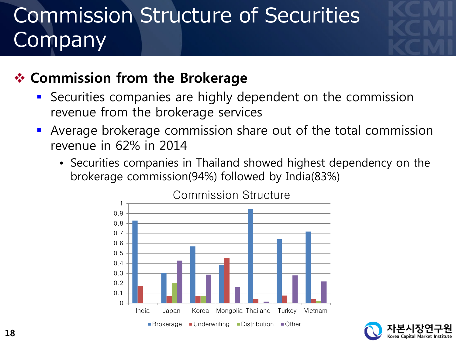## Commission Structure of Securities **Company**

#### **Commission from the Brokerage**

- Securities companies are highly dependent on the commission revenue from the brokerage services
- **Average brokerage commission share out of the total commission** revenue in 62% in 2014
	- Securities companies in Thailand showed highest dependency on the brokerage commission(94%) followed by India(83%)



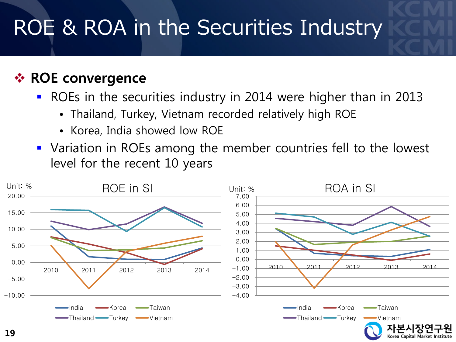## ROE & ROA in the Securities Industry

#### *<b>☆ ROE convergence*

ROEs in the securities industry in 2014 were higher than in 2013

- Thailand, Turkey, Vietnam recorded relatively high ROE
- Korea, India showed low ROE
- Variation in ROEs among the member countries fell to the lowest level for the recent 10 years



Korea Capital Market Institute